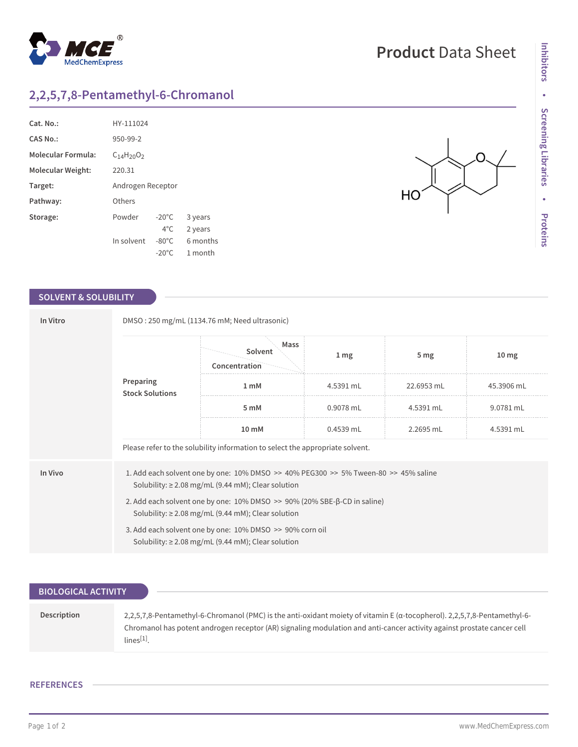## **2,2,5,7,8-Pentamethyl-6-Chromanol**

 $^{\circledR}$ 

MedChemExpress

| Cat. No.:                 | HY-111024         |                 |          |
|---------------------------|-------------------|-----------------|----------|
| CAS No.:                  | 950-99-2          |                 |          |
| <b>Molecular Formula:</b> | $C_{14}H_{20}O_2$ |                 |          |
| Molecular Weight:         | 220.31            |                 |          |
| Target:                   | Androgen Receptor |                 |          |
| Pathway:                  | Others            |                 |          |
| Storage:                  | Powder            | $-20^{\circ}$ C | 3 years  |
|                           |                   | $4^{\circ}$ C   | 2 years  |
|                           | In solvent        | $-80^{\circ}$ C | 6 months |
|                           |                   | $-20^{\circ}$ C | 1 month  |

## **SOLVENT & SOLUBILITY**

| In Vitro                            | DMSO: 250 mg/mL (1134.76 mM; Need ultrasonic)                                                                                                                 |                                  |                  |                 |                  |  |  |
|-------------------------------------|---------------------------------------------------------------------------------------------------------------------------------------------------------------|----------------------------------|------------------|-----------------|------------------|--|--|
| Preparing<br><b>Stock Solutions</b> |                                                                                                                                                               | Mass<br>Solvent<br>Concentration | $1 \, \text{mg}$ | 5 <sub>mg</sub> | 10 <sub>mg</sub> |  |  |
|                                     |                                                                                                                                                               | 1 <sub>m</sub> M                 | 4.5391 mL        | 22.6953 mL      | 45.3906 mL       |  |  |
|                                     | 5 mM                                                                                                                                                          | 0.9078 mL                        | 4.5391 mL        | 9.0781 mL       |                  |  |  |
|                                     |                                                                                                                                                               | 10 mM                            | 0.4539 mL        | 2.2695 mL       | 4.5391 mL        |  |  |
|                                     | Please refer to the solubility information to select the appropriate solvent.                                                                                 |                                  |                  |                 |                  |  |  |
| In Vivo                             | 1. Add each solvent one by one: $10\%$ DMSO $\geq$ 40% PEG300 $\geq$ 5% Tween-80 $\geq$ 45% saline<br>Solubility: $\geq$ 2.08 mg/mL (9.44 mM); Clear solution |                                  |                  |                 |                  |  |  |
|                                     | 2. Add each solvent one by one: 10% DMSO >> 90% (20% SBE-β-CD in saline)<br>Solubility: $\geq$ 2.08 mg/mL (9.44 mM); Clear solution                           |                                  |                  |                 |                  |  |  |
|                                     | 3. Add each solvent one by one: 10% DMSO >> 90% corn oil<br>Solubility: $\geq$ 2.08 mg/mL (9.44 mM); Clear solution                                           |                                  |                  |                 |                  |  |  |

| <b>BIOLOGICAL ACTIVITY</b> |                                                                                                                                                                                                                                                                       |
|----------------------------|-----------------------------------------------------------------------------------------------------------------------------------------------------------------------------------------------------------------------------------------------------------------------|
|                            |                                                                                                                                                                                                                                                                       |
| Description                | 2,2,5,7,8-Pentamethyl-6-Chromanol (PMC) is the anti-oxidant moiety of vitamin E (a-tocopherol), 2,2,5,7,8-Pentamethyl-6-<br>Chromanol has potent androgen receptor (AR) signaling modulation and anti-cancer activity against prostate cancer cell<br>$lines^{[1]}$ . |

## **REFERENCES**

∩

HO